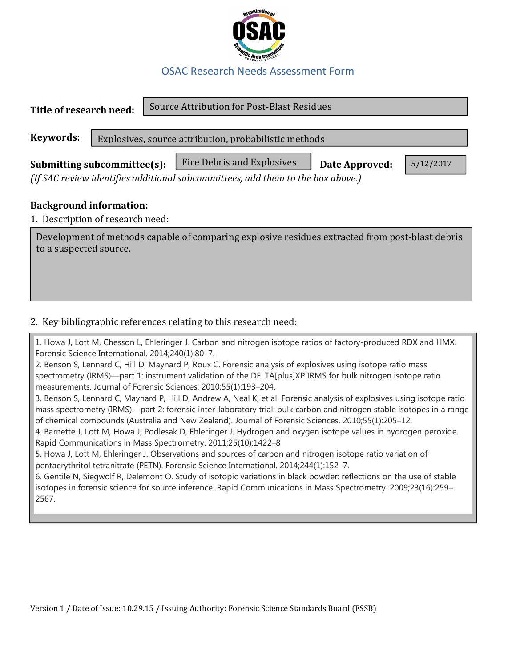

## OSAC Research Needs Assessment Form

| Title of research need:                                                                                                                                                     |  |  | Source Attribution for Post-Blast Residues            |  |  |  |
|-----------------------------------------------------------------------------------------------------------------------------------------------------------------------------|--|--|-------------------------------------------------------|--|--|--|
| Keywords:                                                                                                                                                                   |  |  | Explosives, source attribution, probabilistic methods |  |  |  |
| Fire Debris and Explosives<br>5/12/2017<br>Submitting subcommittee(s):<br>Date Approved:<br>(If SAC review identifies additional subcommittees, add them to the box above.) |  |  |                                                       |  |  |  |
| <b>Background information:</b>                                                                                                                                              |  |  |                                                       |  |  |  |
| 1. Description of research need:                                                                                                                                            |  |  |                                                       |  |  |  |
| Development of methods capable of comparing explosive residues extracted from post-blast debris<br>to a suspected source.                                                   |  |  |                                                       |  |  |  |

## 2. Key bibliographic references relating to this research need:

1. Howa J, Lott M, Chesson L, Ehleringer J. Carbon and nitrogen isotope ratios of factory-produced RDX and HMX. Forensic Science International. 2014;240(1):80–7.

2. Benson S, Lennard C, Hill D, Maynard P, Roux C. Forensic analysis of explosives using isotope ratio mass spectrometry (IRMS)—part 1: instrument validation of the DELTA[plus]XP IRMS for bulk nitrogen isotope ratio measurements. Journal of Forensic Sciences. 2010;55(1):193–204.

3. Benson S, Lennard C, Maynard P, Hill D, Andrew A, Neal K, et al. Forensic analysis of explosives using isotope ratio mass spectrometry (IRMS)—part 2: forensic inter-laboratory trial: bulk carbon and nitrogen stable isotopes in a range of chemical compounds (Australia and New Zealand). Journal of Forensic Sciences. 2010;55(1):205–12.

4. Barnette J, Lott M, Howa J, Podlesak D, Ehleringer J. Hydrogen and oxygen isotope values in hydrogen peroxide. Rapid Communications in Mass Spectrometry. 2011;25(10):1422–8

5. Howa J, Lott M, Ehleringer J. Observations and sources of carbon and nitrogen isotope ratio variation of pentaerythritol tetranitrate (PETN). Forensic Science International. 2014;244(1):152–7.

6. Gentile N, Siegwolf R, Delemont O. Study of isotopic variations in black powder: reflections on the use of stable isotopes in forensic science for source inference. Rapid Communications in Mass Spectrometry. 2009;23(16):259– 2567.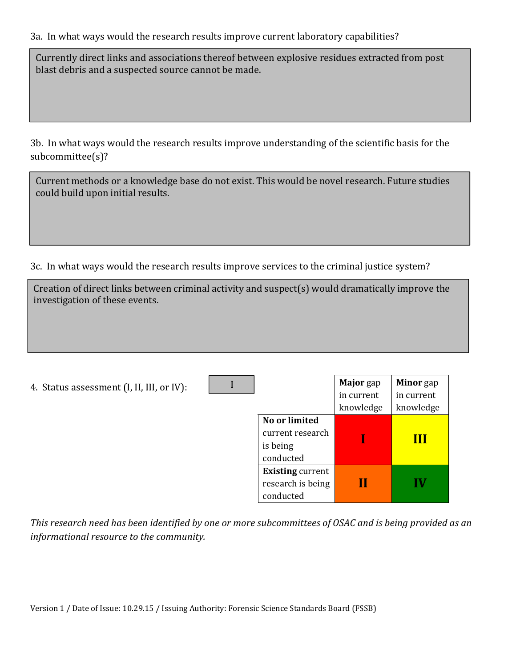3a. In what ways would the research results improve current laboratory capabilities?

Currently direct links and associations thereof between explosive residues extracted from post blast debris and a suspected source cannot be made.

3b. In what ways would the research results improve understanding of the scientific basis for the subcommittee(s)?

Current methods or a knowledge base do not exist. This would be novel research. Future studies could build upon initial results.

3c. In what ways would the research results improve services to the criminal justice system?

| Creation of direct links between criminal activity and suspect(s) would dramatically improve the<br>investigation of these events. |  |  |  |  |  |  |
|------------------------------------------------------------------------------------------------------------------------------------|--|--|--|--|--|--|
|                                                                                                                                    |  |  |  |  |  |  |
|                                                                                                                                    |  |  |  |  |  |  |

| 4. Status assessment (I, II, III, or IV): |                                                            | Major gap<br>in current<br>knowledge | <b>Minor</b> gap<br>in current<br>knowledge |
|-------------------------------------------|------------------------------------------------------------|--------------------------------------|---------------------------------------------|
|                                           | No or limited<br>current research<br>is being<br>conducted |                                      | Ш                                           |
|                                           | <b>Existing current</b><br>research is being<br>conducted  | Н                                    |                                             |

This research need has been identified by one or more subcommittees of OSAC and is being provided as an informational resource to the community.